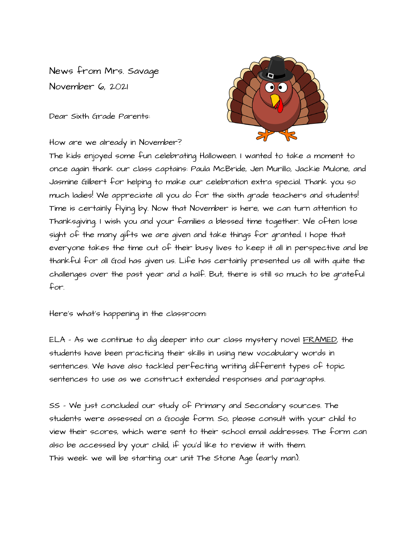News from Mrs. Savage November 6, 2021

Dear Sixth Grade Parents:



How are we already in November?

The kids enjoyed some fun celebrating Halloween. I wanted to take a moment to once again thank our class captains: Paula McBride, Jen Murillo, Jackie Mulone, and Jasmine Gilbert for helping to make our celebration extra special. Thank you so much ladies! We appreciate all you do for the sixth grade teachers and students! Time is certainly flying by. Now that November is here, we can turn attention to Thanksgiving. I wish you and your families a blessed time together. We often lose sight of the many gifts we are given and take things for granted. I hope that everyone takes the time out of their busy lives to keep it all in perspective and be thankful for all God has given us. Life has certainly presented us all with quite the challenges over the past year and a half. But, there is still so much to be grateful for.

Here's what's happening in the classroom:

ELA - As we continue to dig deeper into our class mystery novel FRAMED, the students have been practicing their skills in using new vocabulary words in sentences. We have also tackled perfecting writing different types of topic sentences to use as we construct extended responses and paragraphs.

SS - We just concluded our study of Primary and Secondary sources. The students were assessed on a Google form. So, please consult with your child to view their scores, which were sent to their school email addresses. The form can also be accessed by your child, if you'd like to review it with them. This week we will be starting our unit The Stone Age (early man).